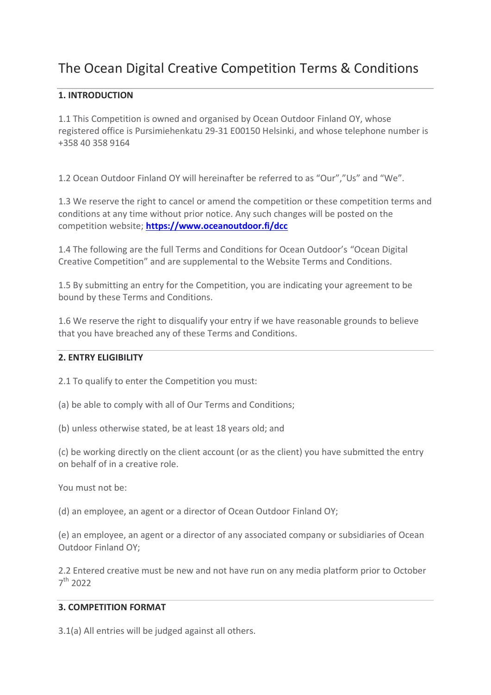# The Ocean Digital Creative Competition Terms & Conditions

# **1. INTRODUCTION**

1.1 This Competition is owned and organised by Ocean Outdoor Finland OY, whose registered office is Pursimiehenkatu 29-31 E00150 Helsinki, and whose telephone number is [+358 40 358 9164](tel:+358%2040%20358%2091%2064)

1.2 Ocean Outdoor Finland OY will hereinafter be referred to as "Our","Us" and "We".

1.3 We reserve the right to cancel or amend the competition or these competition terms and conditions at any time without prior notice. Any such changes will be posted on the competition website; **[https://www.oceanoutdoor.fi/dcc](https://www.oceanoutdoor.fi/dcc-2/)**

1.4 The following are the full Terms and Conditions for Ocean Outdoor's "Ocean Digital Creative Competition" and are supplemental to the Website Terms and Conditions.

1.5 By submitting an entry for the Competition, you are indicating your agreement to be bound by these Terms and Conditions.

1.6 We reserve the right to disqualify your entry if we have reasonable grounds to believe that you have breached any of these Terms and Conditions.

# **2. ENTRY ELIGIBILITY**

2.1 To qualify to enter the Competition you must:

(a) be able to comply with all of Our Terms and Conditions;

(b) unless otherwise stated, be at least 18 years old; and

(c) be working directly on the client account (or as the client) you have submitted the entry on behalf of in a creative role.

You must not be:

(d) an employee, an agent or a director of Ocean Outdoor Finland OY;

(e) an employee, an agent or a director of any associated company or subsidiaries of Ocean Outdoor Finland OY;

2.2 Entered creative must be new and not have run on any media platform prior to October 7 th 2022

# **3. COMPETITION FORMAT**

3.1(a) All entries will be judged against all others.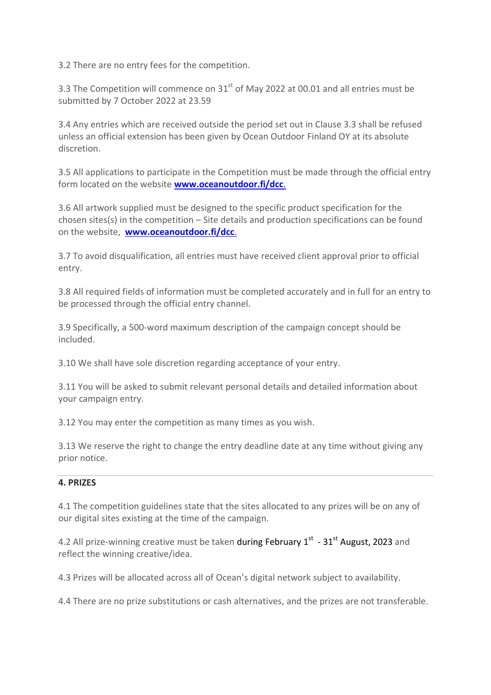3.2 There are no entry fees for the competition.

3.3 The Competition will commence on  $31<sup>st</sup>$  of May 2022 at 00.01 and all entries must be submitted by 7 October 2022 at 23.59

3.4 Any entries which are received outside the period set out in Clause 3.3 shall be refused unless an official extension has been given by Ocean Outdoor Finland OY at its absolute discretion.

3.5 All applications to participate in the Competition must be made through the official entry form located on the website **[www.oceanoutdoor.fi/dcc](https://www.oceanoutdoor.fi/dcc-2/)**.

3.6 All artwork supplied must be designed to the specific product specification for the chosen sites(s) in the competition  $-$  Site details and production specifications can be found on the website, **[www.oceanoutdoor.fi/dcc](https://www.oceanoutdoor.fi/dcc-2/)**.

3.7 To avoid disqualification, all entries must have received client approval prior to official entry.

3.8 All required fields of information must be completed accurately and in full for an entry to be processed through the official entry channel.

3.9 Specifically, a 500-word maximum description of the campaign concept should be included.

3.10 We shall have sole discretion regarding acceptance of your entry.

3.11 You will be asked to submit relevant personal details and detailed information about your campaign entry.

3.12 You may enter the competition as many times as you wish.

3.13 We reserve the right to change the entry deadline date at any time without giving any prior notice.

# **4. PRIZES**

4.1 The competition guidelines state that the sites allocated to any prizes will be on any of our digital sites existing at the time of the campaign.

4.2 All prize-winning creative must be taken during February 1<sup>st</sup> - 31<sup>st</sup> August, 2023 and reflect the winning creative/idea.

4.3 Prizes will be allocated across all of Ocean's digital network subject to availability.

4.4 There are no prize substitutions or cash alternatives, and the prizes are not transferable.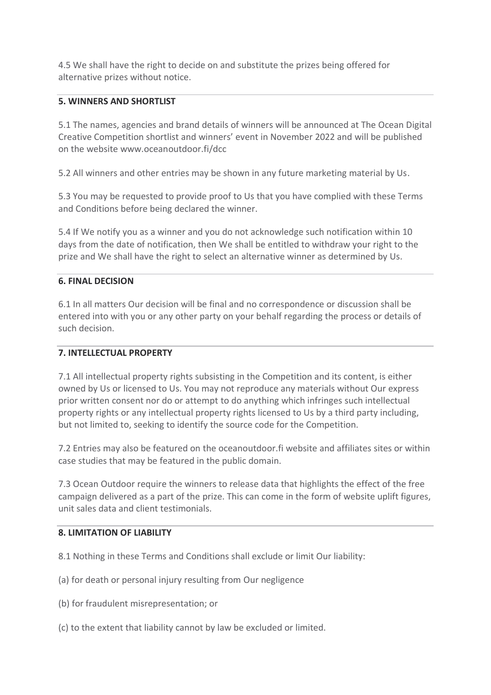4.5 We shall have the right to decide on and substitute the prizes being offered for alternative prizes without notice.

# **5. WINNERS AND SHORTLIST**

5.1 The names, agencies and brand details of winners will be announced at The Ocean Digital Creative Competition shortlist and winners' event in November 2022 and will be published on the website www.oceanoutdoor.fi/dcc

5.2 All winners and other entries may be shown in any future marketing material by Us.

5.3 You may be requested to provide proof to Us that you have complied with these Terms and Conditions before being declared the winner.

5.4 If We notify you as a winner and you do not acknowledge such notification within 10 days from the date of notification, then We shall be entitled to withdraw your right to the prize and We shall have the right to select an alternative winner as determined by Us.

## **6. FINAL DECISION**

6.1 In all matters Our decision will be final and no correspondence or discussion shall be entered into with you or any other party on your behalf regarding the process or details of such decision.

#### **7. INTELLECTUAL PROPERTY**

7.1 All intellectual property rights subsisting in the Competition and its content, is either owned by Us or licensed to Us. You may not reproduce any materials without Our express prior written consent nor do or attempt to do anything which infringes such intellectual property rights or any intellectual property rights licensed to Us by a third party including, but not limited to, seeking to identify the source code for the Competition.

7.2 Entries may also be featured on the oceanoutdoor.fi website and affiliates sites or within case studies that may be featured in the public domain.

7.3 Ocean Outdoor require the winners to release data that highlights the effect of the free campaign delivered as a part of the prize. This can come in the form of website uplift figures, unit sales data and client testimonials.

#### **8. LIMITATION OF LIABILITY**

8.1 Nothing in these Terms and Conditions shall exclude or limit Our liability:

- (a) for death or personal injury resulting from Our negligence
- (b) for fraudulent misrepresentation; or
- (c) to the extent that liability cannot by law be excluded or limited.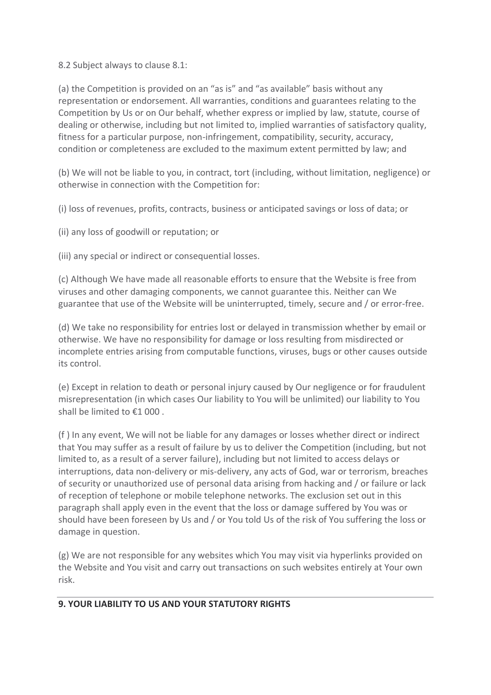8.2 Subject always to clause 8.1:

(a) the Competition is provided on an "as is" and "as available" basis without any representation or endorsement. All warranties, conditions and guarantees relating to the Competition by Us or on Our behalf, whether express or implied by law, statute, course of dealing or otherwise, including but not limited to, implied warranties of satisfactory quality, fitness for a particular purpose, non-infringement, compatibility, security, accuracy, condition or completeness are excluded to the maximum extent permitted by law; and

(b) We will not be liable to you, in contract, tort (including, without limitation, negligence) or otherwise in connection with the Competition for:

(i) loss of revenues, profits, contracts, business or anticipated savings or loss of data; or

(ii) any loss of goodwill or reputation; or

(iii) any special or indirect or consequential losses.

(c) Although We have made all reasonable efforts to ensure that the Website is free from viruses and other damaging components, we cannot guarantee this. Neither can We guarantee that use of the Website will be uninterrupted, timely, secure and / or error-free.

(d) We take no responsibility for entries lost or delayed in transmission whether by email or otherwise. We have no responsibility for damage or loss resulting from misdirected or incomplete entries arising from computable functions, viruses, bugs or other causes outside its control.

(e) Except in relation to death or personal injury caused by Our negligence or for fraudulent misrepresentation (in which cases Our liability to You will be unlimited) our liability to You shall be limited to €1 000 .

(f ) In any event, We will not be liable for any damages or losses whether direct or indirect that You may suffer as a result of failure by us to deliver the Competition (including, but not limited to, as a result of a server failure), including but not limited to access delays or interruptions, data non-delivery or mis-delivery, any acts of God, war or terrorism, breaches of security or unauthorized use of personal data arising from hacking and / or failure or lack of reception of telephone or mobile telephone networks. The exclusion set out in this paragraph shall apply even in the event that the loss or damage suffered by You was or should have been foreseen by Us and / or You told Us of the risk of You suffering the loss or damage in question.

(g) We are not responsible for any websites which You may visit via hyperlinks provided on the Website and You visit and carry out transactions on such websites entirely at Your own risk.

# **9. YOUR LIABILITY TO US AND YOUR STATUTORY RIGHTS**